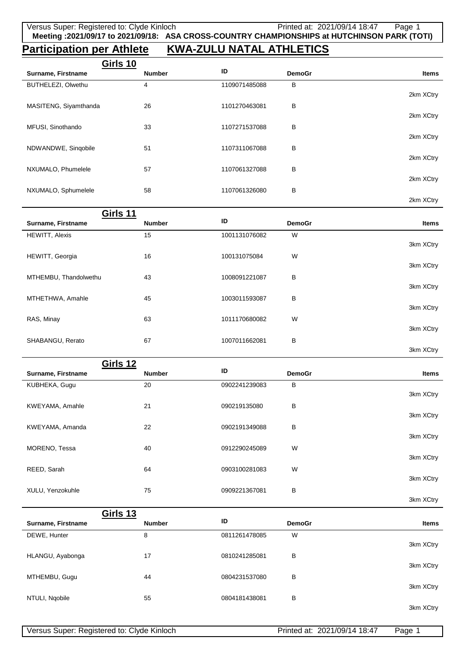## **Participation per Athlete KWA-ZULU NATAL ATHLETICS**

| Girls 10              |               |               |               |              |
|-----------------------|---------------|---------------|---------------|--------------|
| Surname, Firstname    | <b>Number</b> | ID            | <b>DemoGr</b> | <b>Items</b> |
| BUTHELEZI, Olwethu    | 4             | 1109071485088 | B             |              |
|                       |               |               |               | 2km XCtry    |
| MASITENG, Siyamthanda | 26            | 1101270463081 | B             |              |
|                       |               |               |               | 2km XCtry    |
| MFUSI, Sinothando     | 33            | 1107271537088 | B             |              |
|                       |               |               |               | 2km XCtry    |
| NDWANDWE, Singobile   | 51            | 1107311067088 | B             |              |
|                       |               |               |               | 2km XCtry    |
| NXUMALO, Phumelele    | 57            | 1107061327088 | B             | 2km XCtry    |
| NXUMALO, Sphumelele   | 58            | 1107061326080 | B             |              |
|                       |               |               |               | 2km XCtry    |
|                       |               |               |               |              |

| Girls 11              |               |               |               |           |
|-----------------------|---------------|---------------|---------------|-----------|
| Surname, Firstname    | <b>Number</b> | ID            | <b>DemoGr</b> | Items     |
| <b>HEWITT, Alexis</b> | 15            | 1001131076082 | W             |           |
|                       |               |               |               | 3km XCtry |
| HEWITT, Georgia       | 16            | 100131075084  | W             |           |
|                       |               |               |               | 3km XCtry |
| MTHEMBU, Thandolwethu | 43            | 1008091221087 | В             |           |
|                       |               |               |               | 3km XCtry |
| MTHETHWA, Amahle      | 45            | 1003011593087 | В             |           |
|                       |               |               |               | 3km XCtry |
| RAS, Minay            | 63            | 1011170680082 | W             |           |
|                       |               |               |               | 3km XCtry |
| SHABANGU, Rerato      | 67            | 1007011662081 | В             |           |
|                       |               |               |               | 3km XCtry |

| <b>Girls 12</b>    |               |               |               |              |
|--------------------|---------------|---------------|---------------|--------------|
| Surname, Firstname | <b>Number</b> | ID            | <b>DemoGr</b> | <b>Items</b> |
| KUBHEKA, Gugu      | 20            | 0902241239083 | B             |              |
|                    |               |               |               | 3km XCtry    |
| KWEYAMA, Amahle    | 21            | 090219135080  | B             |              |
|                    |               |               |               | 3km XCtry    |
| KWEYAMA, Amanda    | 22            | 0902191349088 | В             | 3km XCtry    |
|                    | 40            | 0912290245089 | W             |              |
| MORENO, Tessa      |               |               |               | 3km XCtry    |
| REED, Sarah        | 64            | 0903100281083 | W             |              |
|                    |               |               |               | 3km XCtry    |
| XULU, Yenzokuhle   | 75            | 0909221367081 | B             |              |
|                    |               |               |               | 3km XCtry    |
| Girls 13           |               |               |               |              |
| Surname, Firstname | <b>Number</b> | ID            | <b>DemoGr</b> | <b>Items</b> |
| DEWE, Hunter       | 8             | 0811261478085 | W             |              |
|                    |               |               |               | 3km XCtry    |
| HLANGU, Ayabonga   | 17            | 0810241285081 | B             |              |
|                    |               |               |               | 3km XCtry    |
| MTHEMBU, Gugu      | 44            | 0804231537080 | В             | 3km XCtry    |
| NTULI, Ngobile     | 55            | 0804181438081 | B             |              |
|                    |               |               |               |              |

3km XCtry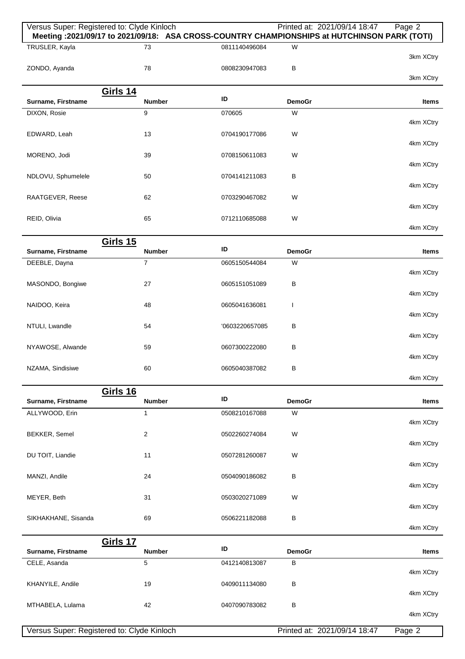| Versus Super: Registered to: Clyde Kinloch | Meeting: 2021/09/17 to 2021/09/18: ASA CROSS-COUNTRY CHAMPIONSHIPS at HUTCHINSON PARK (TOTI) |                     | Printed at: 2021/09/14 18:47 | Page 2       |
|--------------------------------------------|----------------------------------------------------------------------------------------------|---------------------|------------------------------|--------------|
| TRUSLER, Kayla                             | 73                                                                                           | 0811140496084       | W                            |              |
| ZONDO, Ayanda                              | 78                                                                                           | 0808230947083       | В                            | 3km XCtry    |
|                                            |                                                                                              |                     |                              | 3km XCtry    |
| Surname, Firstname                         | <b>Girls 14</b><br><b>Number</b>                                                             | ID                  | <b>DemoGr</b>                | <b>Items</b> |
| DIXON, Rosie                               | 9                                                                                            | 070605              | W                            |              |
| EDWARD, Leah                               | 13                                                                                           | 0704190177086       | W                            | 4km XCtry    |
|                                            |                                                                                              |                     |                              | 4km XCtry    |
| MORENO, Jodi                               | 39                                                                                           | 0708150611083       | W                            | 4km XCtry    |
| NDLOVU, Sphumelele                         | 50                                                                                           | 0704141211083       | В                            |              |
| RAATGEVER, Reese                           | 62                                                                                           | 0703290467082       | W                            | 4km XCtry    |
| REID, Olivia                               | 65                                                                                           | 0712110685088       | W                            | 4km XCtry    |
|                                            |                                                                                              |                     |                              | 4km XCtry    |
| Surname, Firstname                         | <b>Girls 15</b><br><b>Number</b>                                                             | ID                  | <b>DemoGr</b>                | Items        |
| DEEBLE, Dayna                              | $\overline{7}$                                                                               | 0605150544084       | W                            |              |
|                                            | 27                                                                                           | 0605151051089       | В                            | 4km XCtry    |
| MASONDO, Bongiwe                           |                                                                                              |                     |                              | 4km XCtry    |
| NAIDOO, Keira                              | 48                                                                                           | 0605041636081       | T                            | 4km XCtry    |
| NTULI, Lwandle                             | 54                                                                                           | '0603220657085      | В                            |              |
| NYAWOSE, Alwande                           | 59                                                                                           | 0607300222080       | в                            | 4km XCtry    |
|                                            |                                                                                              |                     |                              | 4km XCtry    |
| NZAMA, Sindisiwe                           | 60                                                                                           | 0605040387082       | В                            | 4km XCtry    |
|                                            | <b>Girls 16</b>                                                                              |                     |                              |              |
| Surname, Firstname<br>ALLYWOOD, Erin       | <b>Number</b><br>1                                                                           | ID<br>0508210167088 | <b>DemoGr</b><br>W           | Items        |
|                                            |                                                                                              |                     |                              | 4km XCtry    |
| BEKKER, Semel                              | 2                                                                                            | 0502260274084       | W                            | 4km XCtry    |
| DU TOIT, Liandie                           | 11                                                                                           | 0507281260087       | W                            |              |
| MANZI, Andile                              | 24                                                                                           | 0504090186082       | В                            | 4km XCtry    |
|                                            |                                                                                              |                     |                              | 4km XCtry    |
| MEYER, Beth                                | 31                                                                                           | 0503020271089       | W                            | 4km XCtry    |
| SIKHAKHANE, Sisanda                        | 69                                                                                           | 0506221182088       | В                            |              |
|                                            | <b>Girls 17</b>                                                                              |                     |                              | 4km XCtry    |
| Surname, Firstname                         | <b>Number</b>                                                                                | ID                  | <b>DemoGr</b>                | Items        |
| CELE, Asanda                               | 5                                                                                            | 0412140813087       | В                            | 4km XCtry    |
| KHANYILE, Andile                           | 19                                                                                           | 0409011134080       | в                            |              |
| MTHABELA, Lulama                           | 42                                                                                           | 0407090783082       | В                            | 4km XCtry    |
|                                            |                                                                                              |                     |                              | 4km XCtry    |
| Versus Super: Registered to: Clyde Kinloch |                                                                                              |                     | Printed at: 2021/09/14 18:47 | Page 2       |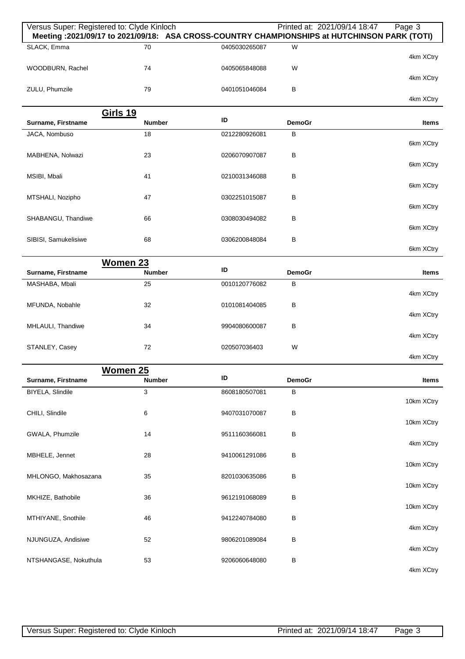| Versus Super: Registered to: Clyde Kinloch |                 |               |               | Printed at: 2021/09/14 18:47<br>Page 3<br>Meeting : 2021/09/17 to 2021/09/18: ASA CROSS-COUNTRY CHAMPIONSHIPS at HUTCHINSON PARK (TOTI) |
|--------------------------------------------|-----------------|---------------|---------------|-----------------------------------------------------------------------------------------------------------------------------------------|
| SLACK, Emma                                | 70              | 0405030265087 | W             | 4km XCtry                                                                                                                               |
| WOODBURN, Rachel                           | 74              | 0405065848088 | W             | 4km XCtry                                                                                                                               |
| ZULU, Phumzile                             | 79              | 0401051046084 | В             | 4km XCtry                                                                                                                               |
|                                            | <b>Girls 19</b> |               |               |                                                                                                                                         |
| Surname, Firstname                         | <b>Number</b>   | ID            | <b>DemoGr</b> | Items                                                                                                                                   |
| JACA, Nombuso                              | 18              | 0212280926081 | в             |                                                                                                                                         |
|                                            |                 |               |               | 6km XCtry                                                                                                                               |
| MABHENA, Nolwazi                           | 23              | 0206070907087 | В             | 6km XCtry                                                                                                                               |
| MSIBI, Mbali                               | 41              | 0210031346088 | В             |                                                                                                                                         |
|                                            |                 |               |               | 6km XCtry                                                                                                                               |
| MTSHALI, Nozipho                           | 47              | 0302251015087 | В             |                                                                                                                                         |
|                                            |                 |               |               | 6km XCtry                                                                                                                               |
| SHABANGU, Thandiwe                         | 66              | 0308030494082 | B             | 6km XCtry                                                                                                                               |
| SIBISI, Samukelisiwe                       | 68              | 0306200848084 | B             |                                                                                                                                         |
|                                            |                 |               |               | 6km XCtry                                                                                                                               |
|                                            | <b>Women 23</b> | ID            |               |                                                                                                                                         |
| Surname, Firstname                         | <b>Number</b>   |               | <b>DemoGr</b> | Items                                                                                                                                   |
| MASHABA, Mbali                             | 25              | 0010120776082 | в             | 4km XCtry                                                                                                                               |
| MFUNDA, Nobahle                            | 32              | 0101081404085 | В             |                                                                                                                                         |
|                                            |                 |               |               | 4km XCtry                                                                                                                               |
| MHLAULI, Thandiwe                          | 34              | 9904080600087 | В             |                                                                                                                                         |
|                                            | 72              |               | W             | 4km XCtry                                                                                                                               |
| STANLEY, Casey                             |                 | 020507036403  |               | 4km XCtry                                                                                                                               |
|                                            | Women 25        |               |               |                                                                                                                                         |
| Surname, Firstname                         | <b>Number</b>   | ID            | <b>DemoGr</b> | Items                                                                                                                                   |
| BIYELA, Slindile                           | $\mathbf{3}$    | 8608180507081 | В             |                                                                                                                                         |
|                                            |                 |               |               | 10km XCtry                                                                                                                              |
| CHILI, Slindile                            | 6               | 9407031070087 | В             | 10km XCtry                                                                                                                              |
| GWALA, Phumzile                            | 14              | 9511160366081 | В             |                                                                                                                                         |
|                                            |                 |               |               | 4km XCtry                                                                                                                               |
| MBHELE, Jennet                             | 28              | 9410061291086 | В             |                                                                                                                                         |
| MHLONGO, Makhosazana                       | 35              | 8201030635086 | В             | 10km XCtry                                                                                                                              |
|                                            |                 |               |               | 10km XCtry                                                                                                                              |
| MKHIZE, Bathobile                          | 36              | 9612191068089 | В             |                                                                                                                                         |
|                                            |                 |               |               | 10km XCtry                                                                                                                              |
| MTHIYANE, Snothile                         | 46              | 9412240784080 | В             | 4km XCtry                                                                                                                               |
| NJUNGUZA, Andisiwe                         | 52              | 9806201089084 | В             |                                                                                                                                         |
|                                            |                 |               |               | 4km XCtry                                                                                                                               |
| NTSHANGASE, Nokuthula                      | 53              | 9206060648080 | В             |                                                                                                                                         |
|                                            |                 |               |               | 4km XCtry                                                                                                                               |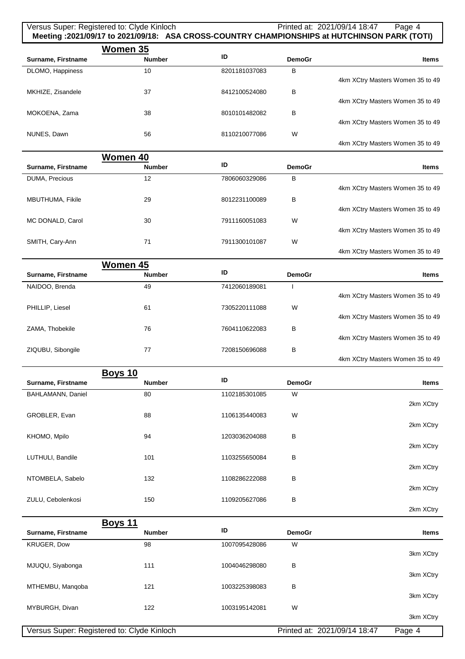## Versus Super: Registered to: Clyde Kinloch Printed at: 2021/09/14 18:47 Page 4 **Meeting :2021/09/17 to 2021/09/18: ASA CROSS-COUNTRY CHAMPIONSHIPS at HUTCHINSON PARK (TOTI)**

|                    | Women 35      |               |               |                                  |
|--------------------|---------------|---------------|---------------|----------------------------------|
| Surname, Firstname | <b>Number</b> | ID            | <b>DemoGr</b> | <b>Items</b>                     |
| DLOMO, Happiness   | 10            | 8201181037083 | B             |                                  |
|                    |               |               |               | 4km XCtry Masters Women 35 to 49 |
| MKHIZE, Zisandele  | 37            | 8412100524080 | B             |                                  |
|                    |               |               |               | 4km XCtry Masters Women 35 to 49 |
| MOKOENA, Zama      | 38            | 8010101482082 | B             |                                  |
|                    |               |               |               | 4km XCtry Masters Women 35 to 49 |
| NUNES, Dawn        | 56            | 8110210077086 | W             |                                  |
|                    |               |               |               | 4km XCtry Masters Women 35 to 49 |

|                    | Women 40      |               |               |                                  |
|--------------------|---------------|---------------|---------------|----------------------------------|
| Surname, Firstname | <b>Number</b> | ID            | <b>DemoGr</b> | <b>Items</b>                     |
| DUMA, Precious     | 12            | 7806060329086 | B             |                                  |
|                    |               |               |               | 4km XCtry Masters Women 35 to 49 |
| MBUTHUMA, Fikile   | 29            | 8012231100089 | B             |                                  |
|                    |               |               |               | 4km XCtry Masters Women 35 to 49 |
| MC DONALD, Carol   | 30            | 7911160051083 | W             |                                  |
|                    |               |               |               | 4km XCtry Masters Women 35 to 49 |
| SMITH, Cary-Ann    | 71            | 7911300101087 | W             |                                  |
|                    |               |               |               | 4km XCtry Masters Women 35 to 49 |

|                                  |               |               | Women 45      |                    |
|----------------------------------|---------------|---------------|---------------|--------------------|
| <b>Items</b>                     | <b>DemoGr</b> | ID            | <b>Number</b> | Surname, Firstname |
|                                  |               | 7412060189081 | 49            | NAIDOO, Brenda     |
| 4km XCtry Masters Women 35 to 49 |               |               |               |                    |
|                                  | W             | 7305220111088 | 61            | PHILLIP, Liesel    |
| 4km XCtry Masters Women 35 to 49 |               |               |               |                    |
|                                  | в             | 7604110622083 | 76            | ZAMA, Thobekile    |
| 4km XCtry Masters Women 35 to 49 |               |               |               |                    |
|                                  | B             | 7208150696088 | 77            | ZIQUBU, Sibongile  |
| 4km XCtry Masters Women 35 to 49 |               |               |               |                    |

|                    | <b>Boys 10</b> |               |               |              |
|--------------------|----------------|---------------|---------------|--------------|
| Surname, Firstname | <b>Number</b>  | ID            | <b>DemoGr</b> | <b>Items</b> |
| BAHLAMANN, Daniel  | 80             | 1102185301085 | W             | 2km XCtry    |
| GROBLER, Evan      | 88             | 1106135440083 | W             | 2km XCtry    |
| KHOMO, Mpilo       | 94             | 1203036204088 | В             | 2km XCtry    |
| LUTHULI, Bandile   | 101            | 1103255650084 | В             | 2km XCtry    |
| NTOMBELA, Sabelo   | 132            | 1108286222088 | B             | 2km XCtry    |
| ZULU, Cebolenkosi  | 150            | 1109205627086 | B             |              |

|                    | <b>Boys 11</b>                             |               |                              |              |
|--------------------|--------------------------------------------|---------------|------------------------------|--------------|
| Surname, Firstname | <b>Number</b>                              | ID            | <b>DemoGr</b>                | <b>Items</b> |
| <b>KRUGER, Dow</b> | 98                                         | 1007095428086 | W                            |              |
|                    |                                            |               |                              | 3km XCtry    |
| MJUQU, Siyabonga   | 111                                        | 1004046298080 | в                            |              |
|                    |                                            |               |                              | 3km XCtry    |
| MTHEMBU, Mangoba   | 121                                        | 1003225398083 | B                            |              |
|                    |                                            |               |                              | 3km XCtry    |
| MYBURGH, Divan     | 122                                        | 1003195142081 | W                            |              |
|                    |                                            |               |                              | 3km XCtry    |
|                    | Versus Super: Registered to: Clyde Kinloch |               | Printed at: 2021/09/14 18:47 | Page 4       |

2km XCtry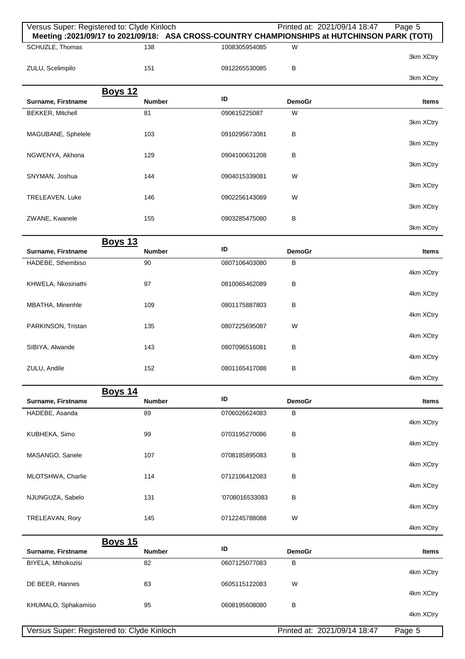| Versus Super: Registered to: Clyde Kinloch | Meeting : 2021/09/17 to 2021/09/18: ASA CROSS-COUNTRY CHAMPIONSHIPS at HUTCHINSON PARK (TOTI) |                |                    | Printed at: 2021/09/14 18:47 | Page 5    |
|--------------------------------------------|-----------------------------------------------------------------------------------------------|----------------|--------------------|------------------------------|-----------|
| SCHUZLE, Thomas                            | 138                                                                                           | 1008305954085  | W                  |                              |           |
|                                            |                                                                                               |                |                    |                              | 3km XCtry |
| ZULU, Scelimpilo                           | 151                                                                                           | 0912265530085  | В                  |                              |           |
|                                            |                                                                                               |                |                    |                              | 3km XCtry |
| Surname, Firstname                         | <b>Boys 12</b><br><b>Number</b>                                                               | ID             | <b>DemoGr</b>      |                              | Items     |
| <b>BEKKER, Mitchell</b>                    | 81                                                                                            | 090615225087   | W                  |                              |           |
|                                            |                                                                                               |                |                    |                              | 3km XCtry |
| MAGUBANE, Sphelele                         | 103                                                                                           | 0910295673081  | В                  |                              |           |
|                                            |                                                                                               |                |                    |                              | 3km XCtry |
| NGWENYA, Akhona                            | 129                                                                                           | 0904100631208  | В                  |                              | 3km XCtry |
| SNYMAN, Joshua                             | 144                                                                                           | 0904015339081  | W                  |                              |           |
|                                            |                                                                                               |                |                    |                              | 3km XCtry |
| TRELEAVEN, Luke                            | 146                                                                                           | 0902256143089  | W                  |                              |           |
|                                            |                                                                                               |                |                    |                              | 3km XCtry |
| ZWANE, Kwanele                             | 155                                                                                           | 0903285475080  | В                  |                              | 3km XCtry |
|                                            | <b>Boys 13</b>                                                                                |                |                    |                              |           |
| Surname, Firstname                         | <b>Number</b>                                                                                 | ID             | <b>DemoGr</b>      |                              | Items     |
| HADEBE, Sthembiso                          | 90                                                                                            | 0807106403080  | B                  |                              |           |
|                                            |                                                                                               |                |                    |                              | 4km XCtry |
| KHWELA, Nkosinathi                         | 97                                                                                            | 0810065462089  | В                  |                              | 4km XCtry |
| MBATHA, Minenhle                           | 109                                                                                           | 0801175887803  | В                  |                              |           |
|                                            |                                                                                               |                |                    |                              | 4km XCtry |
| PARKINSON, Tristan                         | 135                                                                                           | 0807225695087  | W                  |                              |           |
|                                            |                                                                                               |                |                    |                              | 4km XCtry |
| SIBIYA, Alwande                            | 143                                                                                           | 0807096516081  | В                  |                              | 4km XCtry |
| ZULU, Andile                               | 152                                                                                           | 0801165417088  | в                  |                              |           |
|                                            |                                                                                               |                |                    |                              | 4km XCtry |
|                                            | <b>Boys 14</b>                                                                                |                |                    |                              |           |
| Surname, Firstname                         | <b>Number</b>                                                                                 | ID             | <b>DemoGr</b>      |                              | Items     |
| HADEBE, Asanda                             | 89                                                                                            | 0706026624083  | B                  |                              | 4km XCtry |
| KUBHEKA, Simo                              | 99                                                                                            | 0703195270086  | В                  |                              |           |
|                                            |                                                                                               |                |                    |                              | 4km XCtry |
| MASANGO, Sanele                            | 107                                                                                           | 0708185895083  | В                  |                              |           |
|                                            |                                                                                               |                |                    |                              | 4km XCtry |
| MLOTSHWA, Charlie                          | 114                                                                                           | 0712106412083  | В                  |                              | 4km XCtry |
| NJUNGUZA, Sabelo                           | 131                                                                                           | '0708016533083 | В                  |                              |           |
|                                            |                                                                                               |                |                    |                              | 4km XCtry |
| TRELEAVAN, Rory                            | 145                                                                                           | 0712245788088  | W                  |                              |           |
|                                            |                                                                                               |                |                    |                              | 4km XCtry |
|                                            | <b>Boys 15</b>                                                                                | ID             |                    |                              |           |
| Surname, Firstname<br>BIYELA, Mthokozisi   | <b>Number</b><br>82                                                                           | 0607125077083  | <b>DemoGr</b><br>В |                              | Items     |
|                                            |                                                                                               |                |                    |                              | 4km XCtry |
| DE BEER, Hannes                            | 83                                                                                            | 0605115122083  | W                  |                              |           |
|                                            |                                                                                               |                |                    |                              | 4km XCtry |
| KHUMALO, Sphakamiso                        | 95                                                                                            | 0608195608080  | В                  |                              |           |
|                                            |                                                                                               |                |                    |                              | 4km XCtry |
| Versus Super: Registered to: Clyde Kinloch |                                                                                               |                |                    | Printed at: 2021/09/14 18:47 | Page 5    |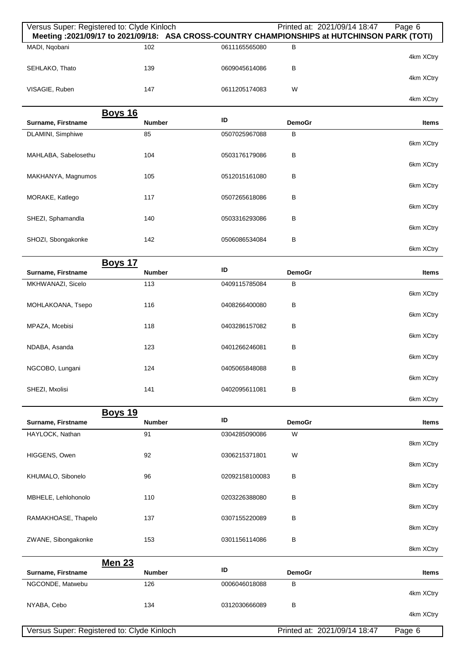|                                            | Versus Super: Registered to: Clyde Kinloch<br>Meeting: 2021/09/17 to 2021/09/18: ASA CROSS-COUNTRY CHAMPIONSHIPS at HUTCHINSON PARK (TOTI) |                | Printed at: 2021/09/14 18:47 | Page 6       |
|--------------------------------------------|--------------------------------------------------------------------------------------------------------------------------------------------|----------------|------------------------------|--------------|
| MADI, Ngobani                              | 102                                                                                                                                        | 0611165565080  | В                            |              |
| SEHLAKO, Thato                             | 139                                                                                                                                        | 0609045614086  | B                            | 4km XCtry    |
| VISAGIE, Ruben                             | 147                                                                                                                                        | 0611205174083  | W                            | 4km XCtry    |
|                                            |                                                                                                                                            |                |                              | 4km XCtry    |
| Surname, Firstname                         | <b>Boys 16</b><br><b>Number</b>                                                                                                            | ID             | <b>DemoGr</b>                | Items        |
| DLAMINI, Simphiwe                          | 85                                                                                                                                         | 0507025967088  | $\, {\bf B}$                 | 6km XCtry    |
| MAHLABA, Sabelosethu                       | 104                                                                                                                                        | 0503176179086  | B                            |              |
| MAKHANYA, Magnumos                         | 105                                                                                                                                        | 0512015161080  | В                            | 6km XCtry    |
|                                            |                                                                                                                                            |                |                              | 6km XCtry    |
| MORAKE, Katlego                            | 117                                                                                                                                        | 0507265618086  | В                            | 6km XCtry    |
| SHEZI, Sphamandla                          | 140                                                                                                                                        | 0503316293086  | В                            | 6km XCtry    |
| SHOZI, Sbongakonke                         | 142                                                                                                                                        | 0506086534084  | B                            | 6km XCtry    |
|                                            | <b>Boys 17</b>                                                                                                                             |                |                              |              |
| Surname, Firstname                         | <b>Number</b>                                                                                                                              | ID             | <b>DemoGr</b>                | Items        |
| MKHWANAZI, Sicelo                          | 113                                                                                                                                        | 0409115785084  | B                            | 6km XCtry    |
| MOHLAKOANA, Tsepo                          | 116                                                                                                                                        | 0408266400080  | B                            | 6km XCtry    |
| MPAZA, Mcebisi                             | 118                                                                                                                                        | 0403286157082  | В                            |              |
| NDABA, Asanda                              | 123                                                                                                                                        | 0401266246081  | B                            | 6km XCtry    |
| NGCOBO, Lungani                            | 124                                                                                                                                        | 0405065848088  | В                            | 6km XCtry    |
|                                            |                                                                                                                                            |                |                              | 6km XCtry    |
| SHEZI, Mxolisi                             | 141                                                                                                                                        | 0402095611081  | B                            | 6km XCtry    |
|                                            | <b>Boys 19</b>                                                                                                                             | ID             |                              |              |
| Surname, Firstname<br>HAYLOCK, Nathan      | <b>Number</b><br>91                                                                                                                        | 0304285090086  | <b>DemoGr</b><br>W           | <b>Items</b> |
|                                            |                                                                                                                                            |                |                              | 8km XCtry    |
| HIGGENS, Owen                              | 92                                                                                                                                         | 0306215371801  | W                            | 8km XCtry    |
| KHUMALO, Sibonelo                          | 96                                                                                                                                         | 02092158100083 | В                            | 8km XCtry    |
| MBHELE, Lehlohonolo                        | 110                                                                                                                                        | 0203226388080  | B                            |              |
| RAMAKHOASE, Thapelo                        | 137                                                                                                                                        | 0307155220089  | В                            | 8km XCtry    |
| ZWANE, Sibongakonke                        | 153                                                                                                                                        | 0301156114086  | B                            | 8km XCtry    |
|                                            |                                                                                                                                            |                |                              | 8km XCtry    |
| Surname, Firstname                         | <b>Men 23</b><br><b>Number</b>                                                                                                             | ID             | <b>DemoGr</b>                | <b>Items</b> |
| NGCONDE, Matwebu                           | 126                                                                                                                                        | 0006046018088  | В                            |              |
| NYABA, Cebo                                | 134                                                                                                                                        | 0312030666089  | B                            | 4km XCtry    |
|                                            |                                                                                                                                            |                |                              | 4km XCtry    |
| Versus Super: Registered to: Clyde Kinloch |                                                                                                                                            |                | Printed at: 2021/09/14 18:47 | Page 6       |